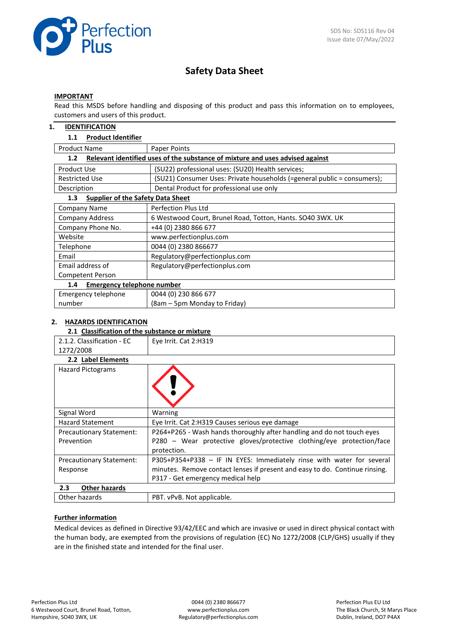

# **Safety Data Sheet**

#### **IMPORTANT**

Read this MSDS before handling and disposing of this product and pass this information on to employees, customers and users of this product.

#### **1. IDENTIFICATION**

#### **1.1 Product Identifier**

| <b>Product Name</b>                             | Paper Points                                                                  |
|-------------------------------------------------|-------------------------------------------------------------------------------|
| 1.2 <sub>2</sub>                                | Relevant identified uses of the substance of mixture and uses advised against |
| <b>Product Use</b>                              | (SU22) professional uses: (SU20) Health services;                             |
| <b>Restricted Use</b>                           | (SU21) Consumer Uses: Private households (=general public = consumers);       |
| Description                                     | Dental Product for professional use only                                      |
| <b>Supplier of the Safety Data Sheet</b><br>1.3 |                                                                               |
| Company Name                                    | Perfection Plus Ltd                                                           |
| <b>Company Address</b>                          | 6 Westwood Court, Brunel Road, Totton, Hants. SO40 3WX. UK                    |
| Company Phone No.                               | +44 (0) 2380 866 677                                                          |
| Website                                         | www.perfectionplus.com                                                        |
| Telephone                                       | 0044 (0) 2380 866677                                                          |
| Email                                           | Regulatory@perfectionplus.com                                                 |
| Email address of                                | Regulatory@perfectionplus.com                                                 |
| Competent Person                                |                                                                               |
| <b>Emergency telephone number</b><br>1.4        |                                                                               |
| Emergency telephone                             | 0044 (0) 230 866 677                                                          |
| number                                          | (8am - 5pm Monday to Friday)                                                  |

#### **2. HAZARDS IDENTIFICATION**

# **2.1 Classification of the substance or mixture**

| 2.1.2. Classification - EC      | Eye Irrit. Cat 2:H319                                                       |
|---------------------------------|-----------------------------------------------------------------------------|
| 1272/2008                       |                                                                             |
| 2.2 Label Elements              |                                                                             |
| <b>Hazard Pictograms</b>        |                                                                             |
| Signal Word                     | Warning                                                                     |
| <b>Hazard Statement</b>         | Eye Irrit. Cat 2:H319 Causes serious eye damage                             |
| <b>Precautionary Statement:</b> | P264+P265 - Wash hands thoroughly after handling and do not touch eyes      |
| Prevention                      | P280 - Wear protective gloves/protective clothing/eye protection/face       |
|                                 | protection.                                                                 |
| <b>Precautionary Statement:</b> | P305+P354+P338 - IF IN EYES: Immediately rinse with water for several       |
| Response                        | minutes. Remove contact lenses if present and easy to do. Continue rinsing. |
|                                 | P317 - Get emergency medical help                                           |
| 2.3<br><b>Other hazards</b>     |                                                                             |
| Other hazards                   | PBT. vPvB. Not applicable.                                                  |

#### **Further information**

Medical devices as defined in Directive 93/42/EEC and which are invasive or used in direct physical contact with the human body, are exempted from the provisions of regulation (EC) No 1272/2008 (CLP/GHS) usually if they are in the finished state and intended for the final user.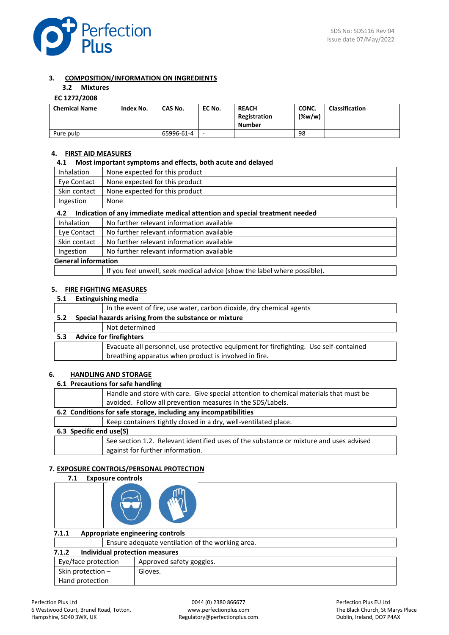

#### **3. COMPOSITION/INFORMATION ON INGREDIENTS**

# **3.2 Mixtures**

## **EC 1272/2008**

| <b>Chemical Name</b> | Index No. | CAS No.    | EC No. | <b>REACH</b><br>Registration<br>Number | CONC.<br>$(\%w/w)$ | <b>Classification</b> |
|----------------------|-----------|------------|--------|----------------------------------------|--------------------|-----------------------|
| Pure pulp            |           | 65996-61-4 |        |                                        | 98                 |                       |

#### **4. FIRST AID MEASURES**

#### **4.1 Most important symptoms and effects, both acute and delayed**

| <b>Inhalation</b>                                      | None expected for this product                                             |  |
|--------------------------------------------------------|----------------------------------------------------------------------------|--|
| None expected for this product<br>Eye Contact          |                                                                            |  |
| None expected for this product<br>Skin contact         |                                                                            |  |
| Ingestion<br>None                                      |                                                                            |  |
| 4.2                                                    | Indication of any immediate medical attention and special treatment needed |  |
| <b>Inhalation</b>                                      | No further relevant information available                                  |  |
| Eye Contact                                            | No further relevant information available                                  |  |
| Skin contact                                           | No further relevant information available                                  |  |
| No further relevant information available<br>Ingestion |                                                                            |  |
| <b>General information</b>                             |                                                                            |  |
|                                                        | If you feel unwell, seek medical advice (show the label where possible).   |  |

#### **5. FIRE FIGHTING MEASURES**

#### **5.1 Extinguishing media**

|     |                                                       | In the event of fire, use water, carbon dioxide, dry chemical agents                  |  |
|-----|-------------------------------------------------------|---------------------------------------------------------------------------------------|--|
| 5.2 | Special hazards arising from the substance or mixture |                                                                                       |  |
|     |                                                       | Not determined                                                                        |  |
| 5.3 |                                                       | <b>Advice for firefighters</b>                                                        |  |
|     |                                                       | Evacuate all personnel, use protective equipment for firefighting. Use self-contained |  |
|     |                                                       | breathing apparatus when product is involved in fire.                                 |  |

#### **6. HANDLING AND STORAGE**

#### **6.1 Precautions for safe handling**

|                         | Handle and store with care. Give special attention to chemical materials that must be  |  |
|-------------------------|----------------------------------------------------------------------------------------|--|
|                         | avoided. Follow all prevention measures in the SDS/Labels.                             |  |
|                         | 6.2 Conditions for safe storage, including any incompatibilities                       |  |
|                         | Keep containers tightly closed in a dry, well-ventilated place.                        |  |
| 6.3 Specific end use(S) |                                                                                        |  |
|                         | See section 1.2. Relevant identified uses of the substance or mixture and uses advised |  |
|                         | against for further information.                                                       |  |

#### **7. EXPOSURE CONTROLS/PERSONAL PROTECTION**

#### **7.1 Exposure controls**

| Appropriate engineering controls<br>7.1.1        |  |
|--------------------------------------------------|--|
| Ensure adequate ventilation of the working area. |  |
| <b>Individual protection measures</b><br>7.1.2   |  |
| Approved safety goggles.<br>Eye/face protection  |  |
| Skin protection -<br>Gloves.                     |  |
| Hand protection                                  |  |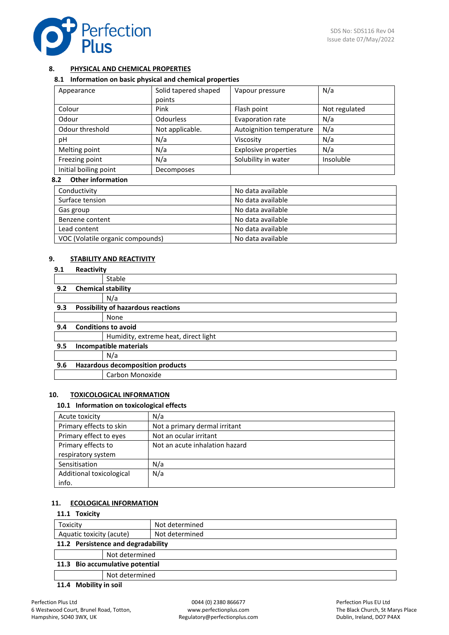

## **8. PHYSICAL AND CHEMICAL PROPERTIES**

#### **8.1 Information on basic physical and chemical properties**

| Appearance            | Solid tapered shaped<br>points | Vapour pressure             | N/a           |
|-----------------------|--------------------------------|-----------------------------|---------------|
| Colour                | Pink                           | Flash point                 | Not regulated |
| Odour                 | <b>Odourless</b>               | Evaporation rate            | N/a           |
| Odour threshold       | Not applicable.                | Autoignition temperature    | N/a           |
| pН                    | N/a                            | Viscosity                   | N/a           |
| Melting point         | N/a                            | <b>Explosive properties</b> | N/a           |
| Freezing point        | N/a                            | Solubility in water         | Insoluble     |
| Initial boiling point | Decomposes                     |                             |               |

# **8.2 Other information**

| Conductivity                     | No data available |
|----------------------------------|-------------------|
| Surface tension                  | No data available |
| Gas group                        | No data available |
| Benzene content                  | No data available |
| Lead content                     | No data available |
| VOC (Volatile organic compounds) | No data available |

#### **9. STABILITY AND REACTIVITY**

| 9.1 | Reactivity                                |
|-----|-------------------------------------------|
|     | Stable                                    |
| 9.2 | <b>Chemical stability</b>                 |
|     | N/a                                       |
| 9.3 | <b>Possibility of hazardous reactions</b> |
|     | None                                      |
| 9.4 | <b>Conditions to avoid</b>                |
|     | Humidity, extreme heat, direct light      |
| 9.5 | Incompatible materials                    |
|     | N/a                                       |
| 9.6 | <b>Hazardous decomposition products</b>   |
|     | Carbon Monoxide                           |

#### **10. TOXICOLOGICAL INFORMATION**

#### **10.1 Information on toxicological effects**

| Acute toxicity           | N/a                            |
|--------------------------|--------------------------------|
| Primary effects to skin  | Not a primary dermal irritant  |
| Primary effect to eyes   | Not an ocular irritant         |
| Primary effects to       | Not an acute inhalation hazard |
| respiratory system       |                                |
| Sensitisation            | N/a                            |
| Additional toxicological | N/a                            |
| info.                    |                                |

### **11. ECOLOGICAL INFORMATION**

| 11.1 Toxicity                      |                |                |  |
|------------------------------------|----------------|----------------|--|
| Toxicity                           |                | Not determined |  |
| Aquatic toxicity (acute)           |                | Not determined |  |
| 11.2 Persistence and degradability |                |                |  |
|                                    | Not determined |                |  |
| 11.3 Bio accumulative potential    |                |                |  |
| Not determined                     |                |                |  |
|                                    |                |                |  |

#### **11.4 Mobility in soil**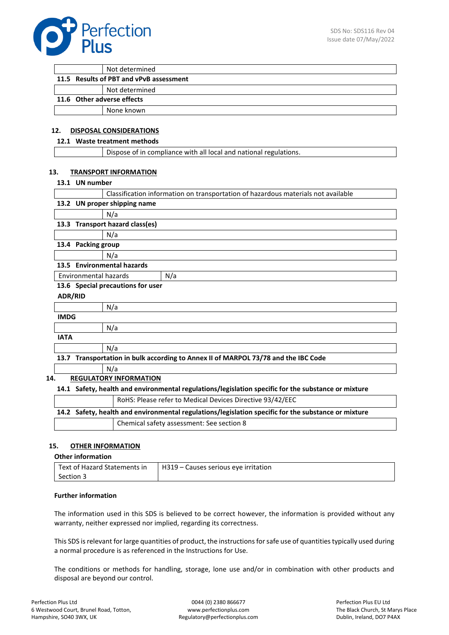

| Not determined                          |  |  |
|-----------------------------------------|--|--|
| 11.5 Results of PBT and vPvB assessment |  |  |
| Not determined                          |  |  |

#### **11.6 Other adverse effects**

None known

# **12. DISPOSAL CONSIDERATIONS**

# **12.1 Waste treatment methods**

#### **13. TRANSPORT INFORMATION**

#### **13.1 UN number**

| Classification information on transportation of hazardous materials not available                   |
|-----------------------------------------------------------------------------------------------------|
| 13.2 UN proper shipping name                                                                        |
| N/a                                                                                                 |
| 13.3 Transport hazard class(es)                                                                     |
| N/a                                                                                                 |
| 13.4 Packing group                                                                                  |
| N/a                                                                                                 |
| 13.5 Environmental hazards                                                                          |
| Environmental hazards<br>N/a                                                                        |
| 13.6 Special precautions for user                                                                   |
| <b>ADR/RID</b>                                                                                      |
| N/a                                                                                                 |
| <b>IMDG</b>                                                                                         |
| N/a                                                                                                 |
| <b>IATA</b>                                                                                         |
| N/a                                                                                                 |
| 13.7 Transportation in bulk according to Annex II of MARPOL 73/78 and the IBC Code                  |
| N/a                                                                                                 |
| 14.<br><b>REGULATORY INFORMATION</b>                                                                |
| 14.1 Safety, health and environmental regulations/legislation specific for the substance or mixture |

|                                                                                                     | RoHS: Please refer to Medical Devices Directive 93/42/EEC |  |  |  |
|-----------------------------------------------------------------------------------------------------|-----------------------------------------------------------|--|--|--|
| 14.2 Safety, health and environmental regulations/legislation specific for the substance or mixture |                                                           |  |  |  |
|                                                                                                     | Chemical safety assessment: See section 8                 |  |  |  |

#### **15. OTHER INFORMATION**

#### **Other information**

|           | Text of Hazard Statements in $\vert$ H319 – Causes serious eye irritation |
|-----------|---------------------------------------------------------------------------|
| Section 3 |                                                                           |
|           |                                                                           |

#### **Further information**

The information used in this SDS is believed to be correct however, the information is provided without any warranty, neither expressed nor implied, regarding its correctness.

This SDS is relevant for large quantities of product, the instructions for safe use of quantities typically used during a normal procedure is as referenced in the Instructions for Use.

The conditions or methods for handling, storage, lone use and/or in combination with other products and disposal are beyond our control.